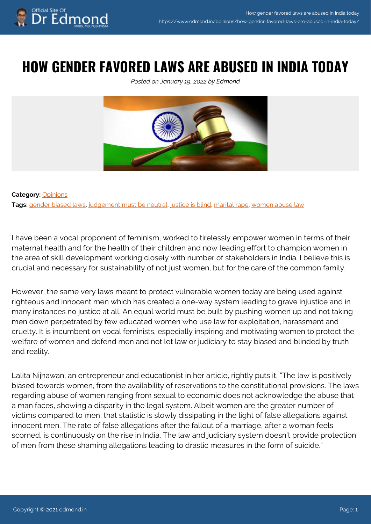### **HOW GENDER FAVORED LAWS ARE ABUSED IN INDIA TODAY**

*Posted on January 19, 2022 by Edmond*



#### **Category:** [Opinions](https://www.edmond.in/category/opinions/) **Tags:** [gender biased laws,](https://www.edmond.in/tag/gender-biased-laws/) [judgement must be neutral,](https://www.edmond.in/tag/judgement-must-be-neutral/) [justice is blind,](https://www.edmond.in/tag/justice-is-blind/) [marital rape,](https://www.edmond.in/tag/marital-rape/) [women abuse law](https://www.edmond.in/tag/women-abuse-law/)

I have been a vocal proponent of feminism, worked to tirelessly empower women in terms of their maternal health and for the health of their children and now leading effort to champion women in the area of skill development working closely with number of stakeholders in India. I believe this is crucial and necessary for sustainability of not just women, but for the care of the common family.

However, the same very laws meant to protect vulnerable women today are being used against righteous and innocent men which has created a one-way system leading to grave injustice and in many instances no justice at all. An equal world must be built by pushing women up and not taking men down perpetrated by few educated women who use law for exploitation, harassment and cruelty. It is incumbent on vocal feminists, especially inspiring and motivating women to protect the welfare of women and defend men and not let law or judiciary to stay biased and blinded by truth and reality.

Lalita Nijhawan, an entrepreneur and educationist in her article, rightly puts it, "The law is positively biased towards women, from the availability of reservations to the constitutional provisions. The laws regarding abuse of women ranging from sexual to economic does not acknowledge the abuse that a man faces, showing a disparity in the legal system. Albeit women are the greater number of victims compared to men, that statistic is slowly dissipating in the light of false allegations against innocent men. The rate of false allegations after the fallout of a marriage, after a woman feels scorned, is continuously on the rise in India. The law and judiciary system doesn't provide protection of men from these shaming allegations leading to drastic measures in the form of suicide."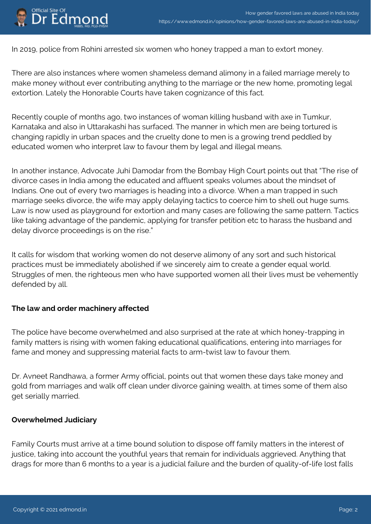# Official Site Of<br>Dr Edmond

In 2019, police from Rohini arrested six women who honey trapped a man to extort money.

There are also instances where women shameless demand alimony in a failed marriage merely to make money without ever contributing anything to the marriage or the new home, promoting legal extortion. Lately the Honorable Courts have taken cognizance of this fact.

Recently couple of months ago, two instances of woman killing husband with axe in Tumkur, Karnataka and also in Uttarakashi has surfaced. The manner in which men are being tortured is changing rapidly in urban spaces and the cruelty done to men is a growing trend peddled by educated women who interpret law to favour them by legal and illegal means.

In another instance, Advocate Juhi Damodar from the Bombay High Court points out that "The rise of divorce cases in India among the educated and affluent speaks volumes about the mindset of Indians. One out of every two marriages is heading into a divorce. When a man trapped in such marriage seeks divorce, the wife may apply delaying tactics to coerce him to shell out huge sums. Law is now used as playground for extortion and many cases are following the same pattern. Tactics like taking advantage of the pandemic, applying for transfer petition etc to harass the husband and delay divorce proceedings is on the rise."

It calls for wisdom that working women do not deserve alimony of any sort and such historical practices must be immediately abolished if we sincerely aim to create a gender equal world. Struggles of men, the righteous men who have supported women all their lives must be vehemently defended by all.

#### **The law and order machinery affected**

The police have become overwhelmed and also surprised at the rate at which honey-trapping in family matters is rising with women faking educational qualifications, entering into marriages for fame and money and suppressing material facts to arm-twist law to favour them.

Dr. Avneet Randhawa, a former Army official, points out that women these days take money and gold from marriages and walk off clean under divorce gaining wealth, at times some of them also get serially married.

#### **Overwhelmed Judiciary**

Family Courts must arrive at a time bound solution to dispose off family matters in the interest of justice, taking into account the youthful years that remain for individuals aggrieved. Anything that drags for more than 6 months to a year is a judicial failure and the burden of quality-of-life lost falls